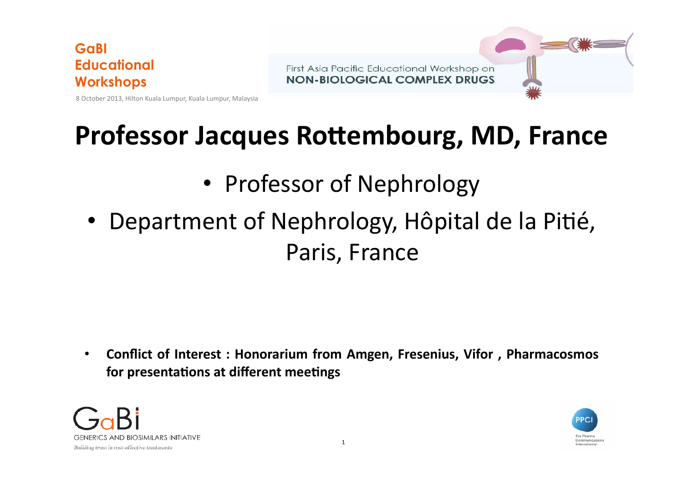First Asia Pacific Educational Workshop on **NON-BIOLOGICAL COMPLEX DRUGS** 

8 October 2013, Hilton Kuala Lumpur, Kuala Lumpur, Malaysia

## **Professor Jacques Rottembourg, MD, France**

## • Professor of Nephrology

Department of Nephrology, Hôpital de la Pitié, Paris, France

• Conflict of Interest : Honorarium from Amgen, Fresenius, Vifor, Pharmacosmos **for presentations at different meetings** 



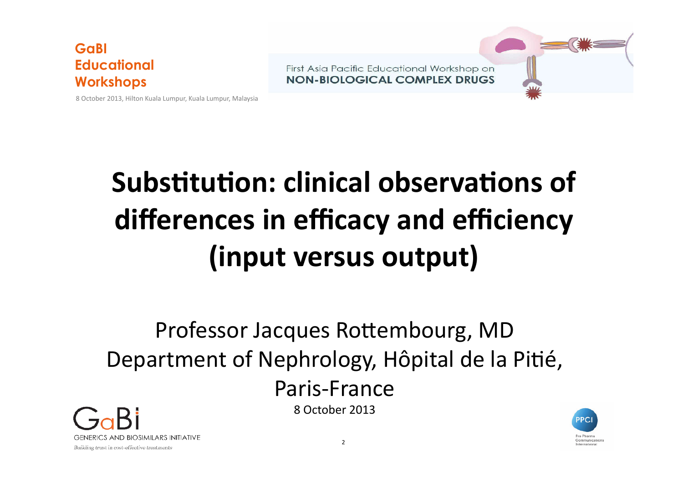

**NON-BIOLOGICAL COMPLEX DRUGS** 



8 October 2013, Hilton Kuala Lumpur, Kuala Lumpur, Malaysia

# **Substitution: clinical observations of** differences in efficacy and efficiency **(input versus output)**

## Professor Jacques Rottembourg, MD Department of Nephrology, Hôpital de la Pitié, Paris-France 8 October 2013



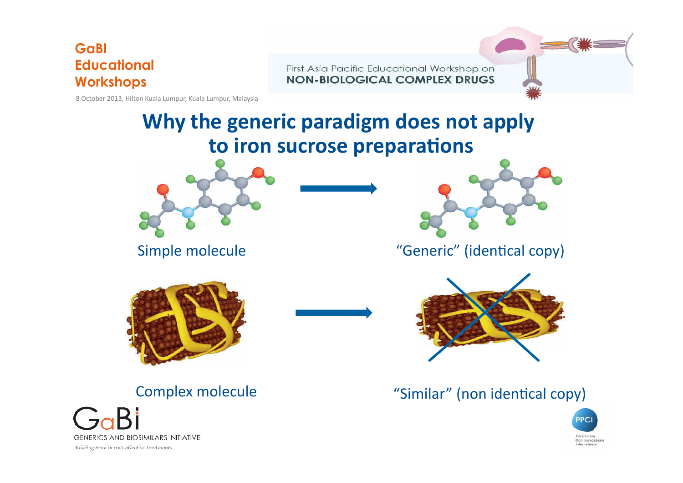First Asia Pacific Educational Workshop on **NON-BIOLOGICAL COMPLEX DRUGS** 

8 October 2013, Hilton Kuala Lumpur, Kuala Lumpur, Malaysia

## **Why the generic paradigm does not apply** to iron sucrose preparations





Simple molecule The Contract Contract "Generic" (identical copy)







Complex molecule **The Complex molecule** "Similar" (non identical copy)

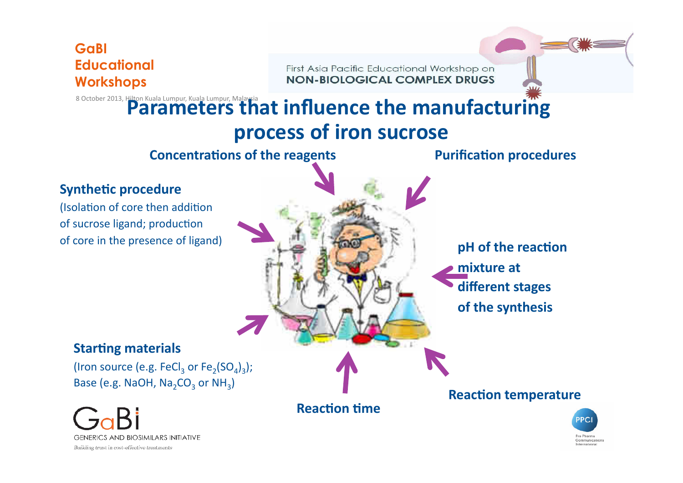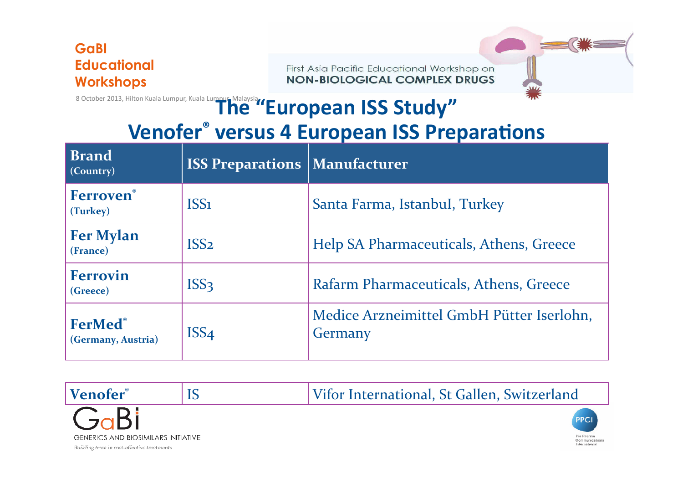First Asia Pacific Educational Workshop on **NON-BIOLOGICAL COMPLEX DRUGS** 



## 8 October 2013, Hilton Kuala Lumpur, Kuala Lumpur, Malaysia **"European ISS Study"**

## **Venofer<sup>®</sup> versus 4 European ISS Preparations**

| <b>Brand</b><br>(Country)     | <b>ISS Preparations   Manufacturer</b> |                                                      |
|-------------------------------|----------------------------------------|------------------------------------------------------|
| Ferroven®<br>(Turkey)         | ISS <sub>1</sub>                       | Santa Farma, Istanbul, Turkey                        |
| <b>Fer Mylan</b><br>(France)  | ISS <sub>2</sub>                       | Help SA Pharmaceuticals, Athens, Greece              |
| <b>Ferrovin</b><br>(Greece)   | ISS <sub>3</sub>                       | Rafarm Pharmaceuticals, Athens, Greece               |
| FerMed®<br>(Germany, Austria) | ISS <sub>4</sub>                       | Medice Arzneimittel GmbH Pütter Iserlohn,<br>Germany |

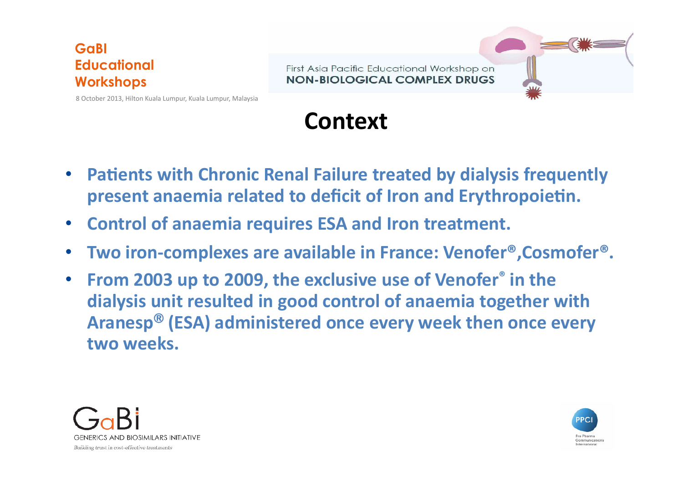8 October 2013, Hilton Kuala Lumpur, Kuala Lumpur, Malaysia

First Asia Pacific Educational Workshop on **NON-BIOLOGICAL COMPLEX DRUGS** 

**Context** 

- **Patients with Chronic Renal Failure treated by dialysis frequently** present anaemia related to deficit of Iron and Erythropoietin.
- **Control of anaemia requires ESA and Iron treatment.**
- Two iron-complexes are available in France: Venofer®, Cosmofer®.
- **From 2003 up to 2009, the exclusive use of Venofer<sup>®</sup> in the** dialysis unit resulted in good control of anaemia together with Aranesp<sup>®</sup> (ESA) administered once every week then once every two weeks.



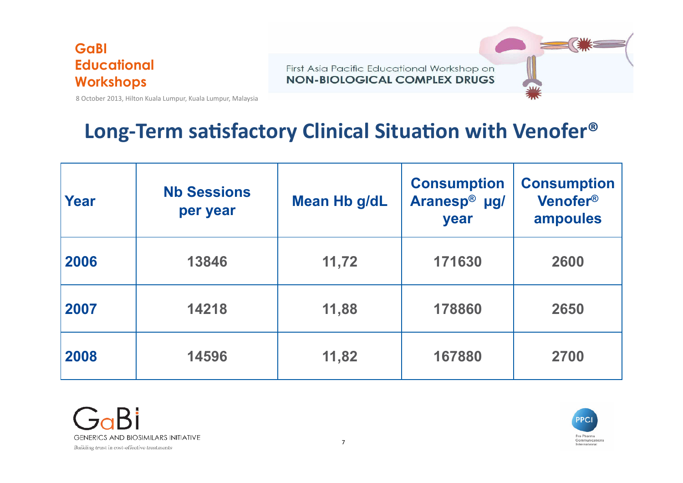First Asia Pacific Educational Workshop on **NON-BIOLOGICAL COMPLEX DRUGS** 



8 October 2013, Hilton Kuala Lumpur, Kuala Lumpur, Malaysia

## Long-Term satisfactory Clinical Situation with Venofer<sup>®</sup>

| Year | <b>Nb Sessions</b><br>per year | Mean Hb g/dL | <b>Consumption</b><br>Aranesp <sup>®</sup> µg/<br>year | <b>Consumption</b><br>Venofer <sup>®</sup><br>ampoules |
|------|--------------------------------|--------------|--------------------------------------------------------|--------------------------------------------------------|
| 2006 | 13846                          | 11,72        | 171630                                                 | 2600                                                   |
| 2007 | 14218                          | 11,88        | 178860                                                 | 2650                                                   |
| 2008 | 14596                          | 11,82        | 167880                                                 | 2700                                                   |

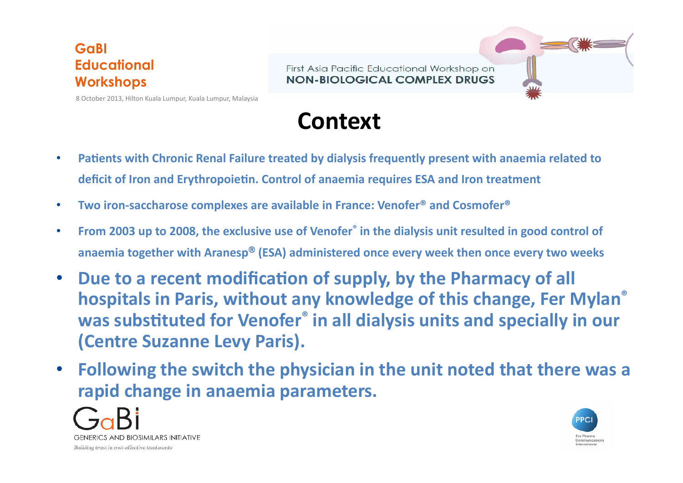First Asia Pacific Educational Workshop on **NON-BIOLOGICAL COMPLEX DRUGS** 

8 October 2013, Hilton Kuala Lumpur, Kuala Lumpur, Malaysia

**Context** 

- Patients with Chronic Renal Failure treated by dialysis frequently present with anaemia related to deficit of Iron and Erythropoietin. Control of anaemia requires ESA and Iron treatment
- Two iron-saccharose complexes are available in France: Venofer<sup>®</sup> and Cosmofer<sup>®</sup>
- From 2003 up to 2008, the exclusive use of Venofer<sup>®</sup> in the dialysis unit resulted in good control of anaemia together with Aranesp® (ESA) administered once every week then once every two weeks
- Due to a recent modification of supply, by the Pharmacy of all **hospitals in Paris, without any knowledge of this change, Fer Mylan<sup>®</sup>** was substituted for Venofer<sup>®</sup> in all dialysis units and specially in our **(Centre Suzanne Levy Paris).**
- Following the switch the physician in the unit noted that there was a **rapid change in anaemia parameters.**



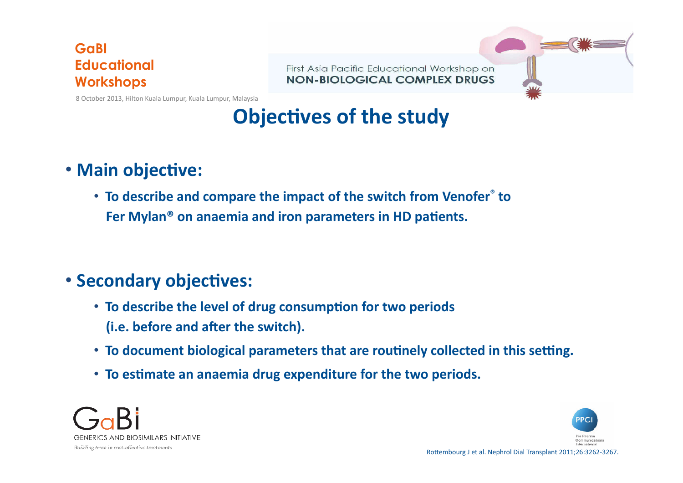8 October 2013, Hilton Kuala Lumpur, Kuala Lumpur, Malaysia

#### First Asia Pacific Educational Workshop on **NON-BIOLOGICAL COMPLEX DRUGS**

## **Objectives of the study**

### • Main objective:

• To describe and compare the impact of the switch from Venofer<sup>®</sup> to Fer Mylan<sup>®</sup> on anaemia and iron parameters in HD patients.

### **• Secondary objectives:**

- To describe the level of drug consumption for two periods **(i.e. before and after the switch).**
- To document biological parameters that are routinely collected in this setting.
- To estimate an anaemia drug expenditure for the two periods.



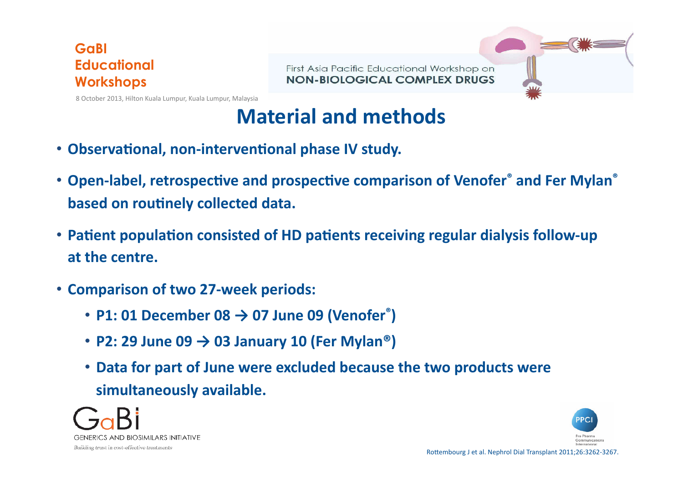First Asia Pacific Educational Workshop on **NON-BIOLOGICAL COMPLEX DRUGS** 

8 October 2013, Hilton Kuala Lumpur, Kuala Lumpur, Malaysia

## **Material and methods**

- Observational, non-interventional phase IV study.
- Open-label, retrospective and prospective comparison of Venofer<sup>®</sup> and Fer Mylan<sup>®</sup> **based on routinely collected data.**
- Patient population consisted of HD patients receiving regular dialysis follow-up at the centre.
- **Comparison of two 27-week periods:** 
	- P1: 01 December  $08 \rightarrow 07$  June 09 (Venofer<sup>®</sup>)
	- **P2: 29 June 09**  $\rightarrow$  **03 January 10 (Fer Mylan<sup>®</sup>)**
	- Data for part of June were excluded because the two products were simultaneously available.



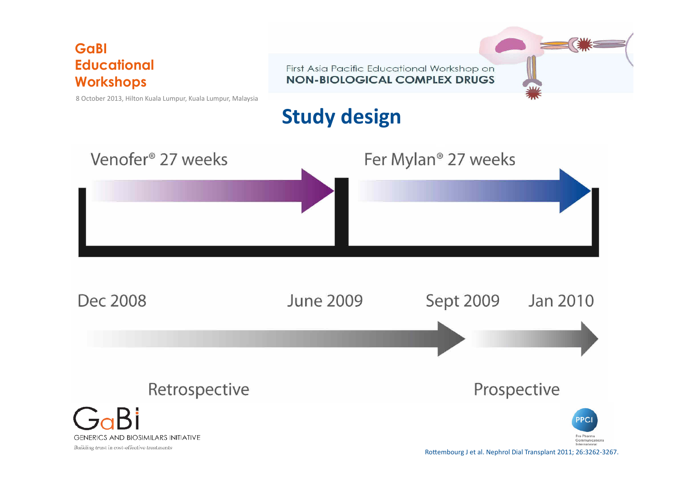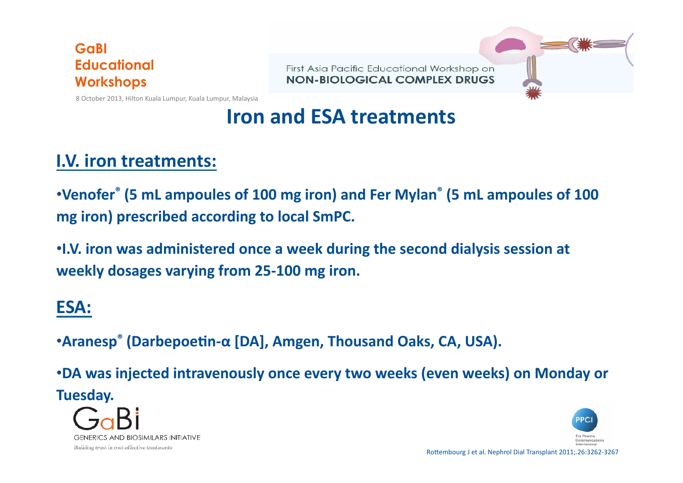8 October 2013, Hilton Kuala Lumpur, Kuala Lumpur, Malaysia

First Asia Pacific Educational Workshop on **NON-BIOLOGICAL COMPLEX DRUGS** 

## **Iron and ESA treatments**

### **I.V. iron treatments:**

•Venofer<sup>®</sup> (5 mL ampoules of 100 mg iron) and Fer Mylan<sup>®</sup> (5 mL ampoules of 100 **mg** iron) prescribed according to local SmPC.

•I.V. iron was administered once a week during the second dialysis session at weekly dosages varying from 25-100 mg iron.

### **ESA:**

•**Aranesp<sup>®</sup> (Darbepoetin-α [DA], Amgen, Thousand Oaks, CA, USA).** 

•**DA** was injected intravenously once every two weeks (even weeks) on Monday or **Tuesday.** 





Rottembourg J et al. Nephrol Dial Transplant 2011;.26:3262-3267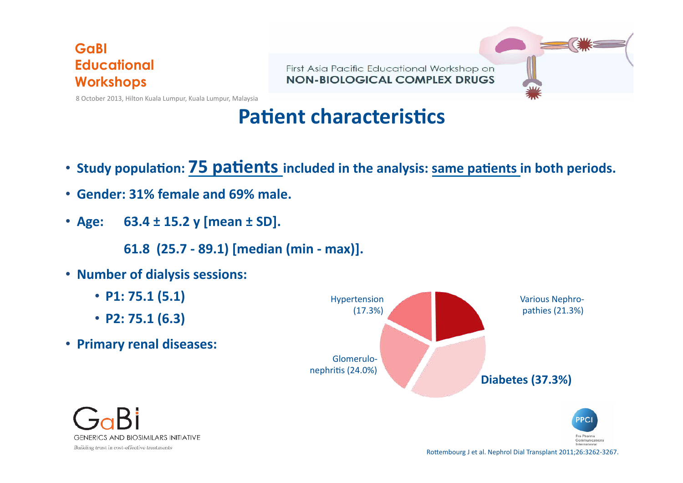First Asia Pacific Educational Workshop on **NON-BIOLOGICAL COMPLEX DRUGS** 



8 October 2013, Hilton Kuala Lumpur, Kuala Lumpur, Malaysia

### **Patient characteristics**

- Study population: **75 patients** included in the analysis: same patients in both periods.
- **Gender: 31% female and 69% male.**
- Age: 63.4 ± 15.2 y [mean ± SD].
	- **61.8** (25.7 89.1) [median (min max)].
- **Number of dialysis sessions:**
	- **P1:** 75.1 (5.1)
	- **P2: 75.1 (6.3)**
- Primary renal diseases:





Rottembourg J et al. Nephrol Dial Transplant 2011;26:3262-3267.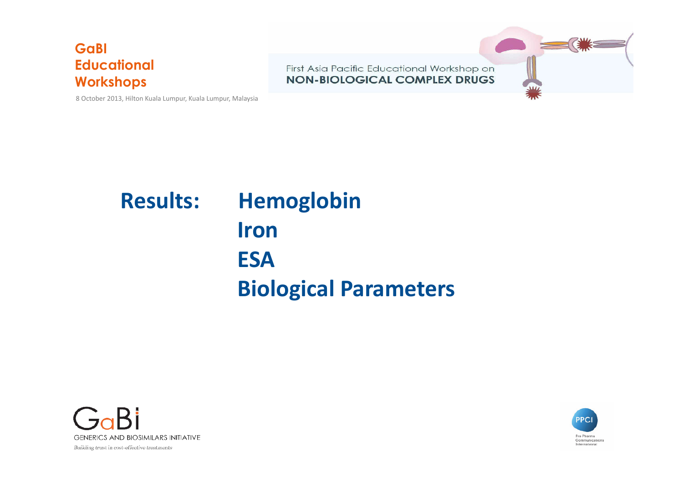8 October 2013, Hilton Kuala Lumpur, Kuala Lumpur, Malaysia



## **Results:** Hemoglobin **Iron ESA Biological Parameters**



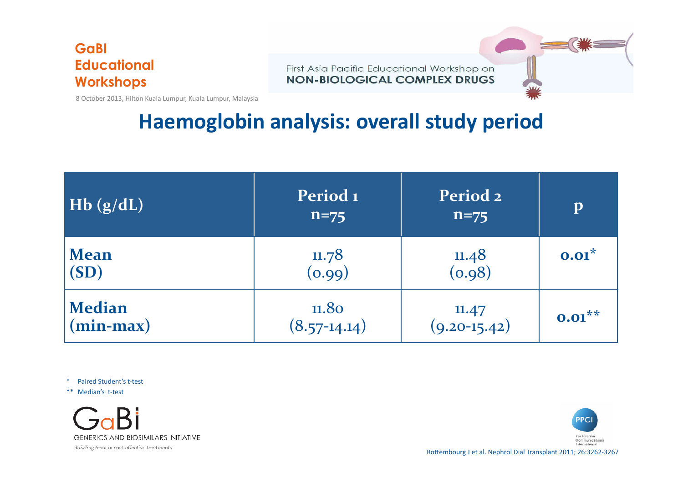First Asia Pacific Educational Workshop on **NON-BIOLOGICAL COMPLEX DRUGS** 

8 October 2013, Hilton Kuala Lumpur, Kuala Lumpur, Malaysia

## **Haemoglobin analysis: overall study period**

| Hb(g/dL)                     | Period <sub>1</sub><br>$n = 75$ | Period <sub>2</sub><br>$n = 75$                | p         |
|------------------------------|---------------------------------|------------------------------------------------|-----------|
| <b>Mean</b><br>(SD)          | $\frac{11.78}{(0.99)}$          | $\begin{array}{c} 11.48 \\ (0.98) \end{array}$ | $0.01^*$  |
| <b>Median</b><br>$(min-max)$ | 11.80<br>$(8.57-14.14)$         | 11.47<br>$(9.20 - 15.42)$                      | $0.01***$ |

\* Paired Student's t-test 

\*\* Median's t-test





Rottembourg J et al. Nephrol Dial Transplant 2011; 26:3262-3267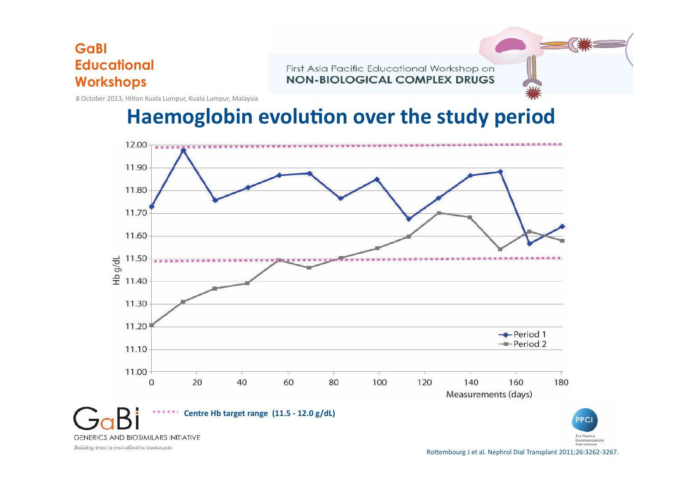First Asia Pacific Educational Workshop on **NON-BIOLOGICAL COMPLEX DRUGS** 

8 October 2013, Hilton Kuala Lumpur, Kuala Lumpur, Malaysia

### **Haemoglobin evolution over the study period**



Rottembourg J et al. Nephrol Dial Transplant 2011;26:3262-3267.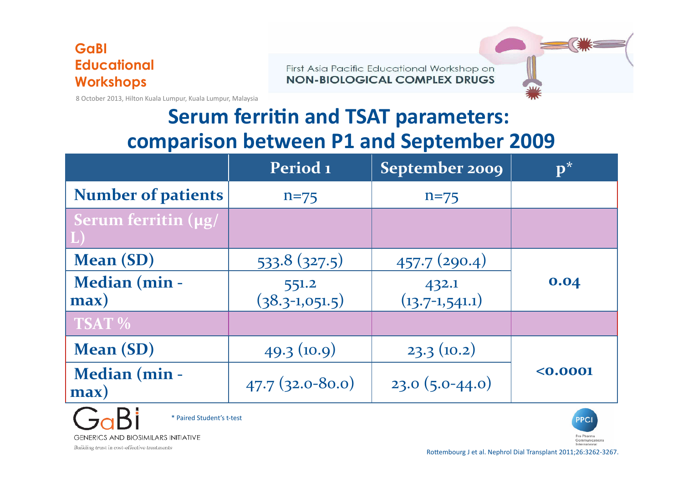First Asia Pacific Educational Workshop on **NON-BIOLOGICAL COMPLEX DRUGS** 

8 October 2013, Hilton Kuala Lumpur, Kuala Lumpur, Malaysia

## **Serum ferritin and TSAT parameters: comparison between P1 and September 2009**

|                            | Period <sub>1</sub>       | September 2009            |        |
|----------------------------|---------------------------|---------------------------|--------|
| <b>Number of patients</b>  | $n = 75$                  | $n=75$                    |        |
| <b>Serum ferritin (µg/</b> |                           |                           |        |
| Mean (SD)                  | 533.8(327.5)              | 457.7(290.4)              |        |
| Median (min -<br>max)      | 551.2<br>$(38.3-1,051.5)$ | 432.1<br>$(13.7-1,541.1)$ | 0.04   |
| <b>TSAT %</b>              |                           |                           |        |
| <b>Mean (SD)</b>           | 49.3(10.9)                | 23.3(10.2)                |        |
| Median (min -<br>max)      | $47.7(32.0-80.0)$         | $23.0(5.0-44.0)$          | 0.0001 |





Rottembourg J et al. Nephrol Dial Transplant 2011;26:3262-3267.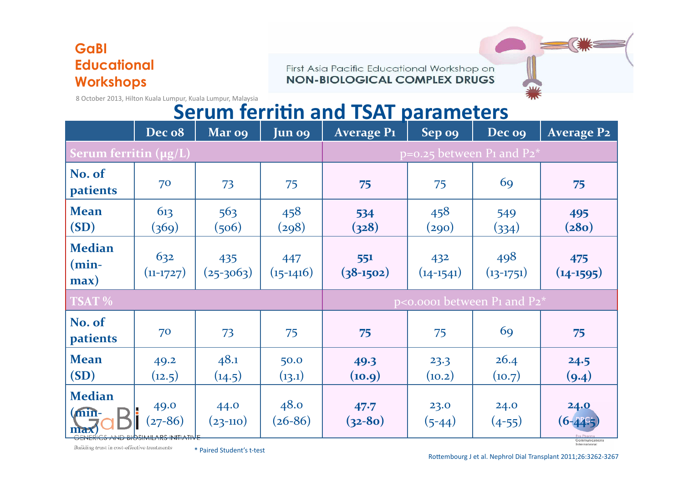First Asia Pacific Educational Workshop on **NON-BIOLOGICAL COMPLEX DRUGS** 

8 October 2013, Hilton Kuala Lumpur, Kuala Lumpur, Malaysia

### **Serum ferritin and TSAT parameters**

|                                   | Dec o8                                           | Mar o9             | Jun o9             | <b>Average P1</b>                                               | $Sep$ og           | Dec og                                     | <b>Average P2</b>                                            |
|-----------------------------------|--------------------------------------------------|--------------------|--------------------|-----------------------------------------------------------------|--------------------|--------------------------------------------|--------------------------------------------------------------|
| Serum ferritin (µg/L)             |                                                  |                    |                    | $p=0.25$ between P <sub>1</sub> and P <sub>2</sub> <sup>*</sup> |                    |                                            |                                                              |
| No. of<br><b>patients</b>         | 70                                               | 73                 | 75                 | 75                                                              | 75                 | 69                                         | 75                                                           |
| <b>Mean</b><br>(SD)               | 613<br>(369)                                     | 563<br>(506)       | 458<br>(298)       | 534<br>(328)                                                    | 458<br>(290)       | 549<br>(334)                               | 495<br>(280)                                                 |
| <b>Median</b><br>$(min-$<br>max)  | 632<br>$(11-1727)$                               | 435<br>$(25-3063)$ | 447<br>$(15-1416)$ | 551<br>$(38-1502)$                                              | 432<br>$(14-1541)$ | 498<br>$(13-1751)$                         | 475<br>$(14-1595)$                                           |
| TSAT %                            |                                                  |                    |                    |                                                                 |                    | $p$ <0.0001 between P1 and P2 <sup>*</sup> |                                                              |
| No. of<br>patients                | 70                                               | 73                 | 75                 | 75                                                              | 75                 | 69                                         | 75                                                           |
| <b>Mean</b><br>(SD)               | 49.2<br>(12.5)                                   | 48.1<br>(14.5)     | 50.0<br>(13.1)     | 49.3<br>(10.9)                                                  | 23.3<br>(10.2)     | 26.4<br>(10.7)                             | 24.5<br>(9.4)                                                |
| <b>Median</b><br>$(\min -$<br>max | 49.0<br>$(27 - 86)$<br>AND BIOSIMILARS INITIATIV | 44.0<br>$(23-110)$ | 48.0<br>$(26-86)$  | 47.7<br>$(32 - 80)$                                             | 23.0<br>$(5-44)$   | 24.0<br>$(4-55)$                           | 24.0<br>$(6 - 44)$<br>Communications<br><b>Informational</b> |

Building trust in cost-effective treatments

\* Paired Student's t-test 

Rottembourg J et al. Nephrol Dial Transplant 2011;26:3262-3267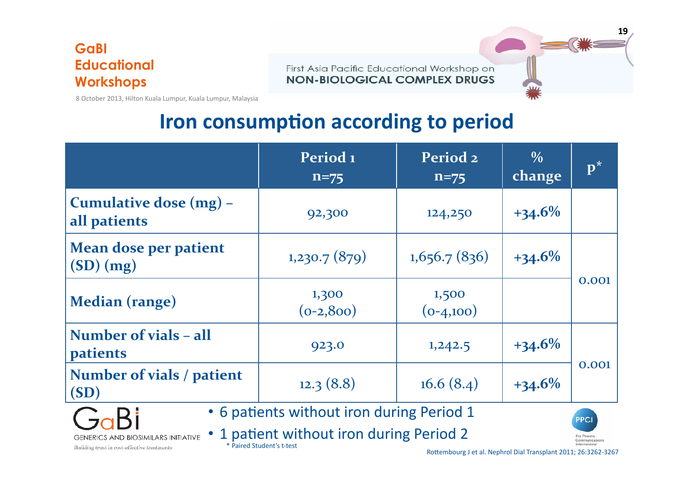First Asia Pacific Educational Workshop on **NON-BIOLOGICAL COMPLEX DRUGS** 



8 October 2013, Hilton Kuala Lumpur, Kuala Lumpur, Malaysia

## **Iron consumption according to period**

|                                                 | Period 1<br>$n = 75$  | Period <sub>2</sub><br>$n = 75$ | $\frac{0}{0}$<br>change | $\mathbf{p}^*$ |
|-------------------------------------------------|-----------------------|---------------------------------|-------------------------|----------------|
| Cumulative dose (mg) -<br>all patients          | 92,300                | 124,250                         | $+34.6%$                |                |
| Mean dose per patient<br>(SD)(mg)               | 1,230.7(879)          | 1,656.7(836)                    | $+34.6%$                |                |
| Median (range)                                  | 1,300<br>$(o-2, 8oo)$ | 1,500<br>$(o_{-4,100})$         |                         | 0.001          |
| <b>Number of vials - all</b><br><b>patients</b> | 923.0                 | 1,242.5                         | $+34.6%$                |                |
| Number of vials / patient<br>(SD)               | 12.3(8.8)             | 16.6(8.4)                       | $+34.6%$                | 0.001          |
| • 6 patients without iron during Period 1       |                       |                                 |                         |                |

**GENERICS AND BIOSIMILARS INITIATIVE** 

• 1 patient without iron during Period 2 \* Paired Student's t-test 

Pro Pharma Communications

Building trust in cost-effective treatments

- 21

Rottembourg J et al. Nephrol Dial Transplant 2011; 26:3262-3267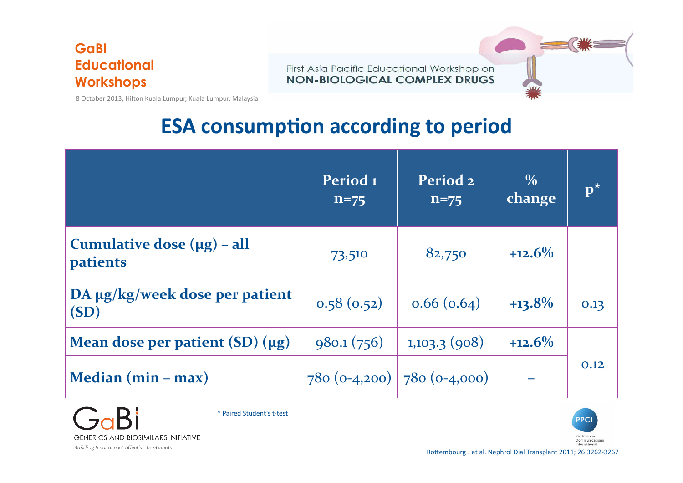First Asia Pacific Educational Workshop on **NON-BIOLOGICAL COMPLEX DRUGS** 



### **ESA consumption according to period**

|                                                    | Period 1<br>$n = 75$ | Period <sub>2</sub><br>$n = 75$   | $\frac{0}{0}$<br>change | $\mathbf{p}^*$ |
|----------------------------------------------------|----------------------|-----------------------------------|-------------------------|----------------|
| Cumulative dose $(\mu g)$ – all<br><i>patients</i> | 73,510               | 82,750                            | $+12.6%$                |                |
| DA µg/kg/week dose per patient<br>(SD)             | 0.58(0.52)           | 0.66(0.64)                        | $+13.8%$                | 0.13           |
| Mean dose per patient $(SD)(\mu g)$                | 980.1(756)           | 1,103.3(908)                      | $+12.6%$                |                |
| Median $(min - max)$                               |                      | $780 (o-4,200)$   $780 (o-4,000)$ |                         | 0.12           |



\* Paired Student's t-test 

PPCI Pro Pharma Communications<br>International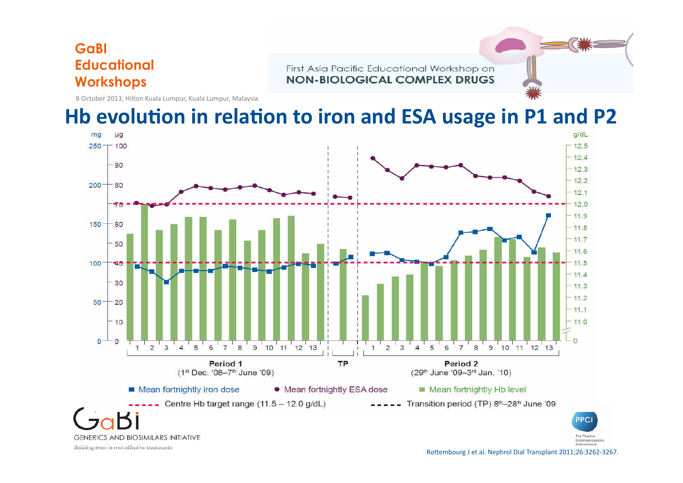First Asia Pacific Educational Workshop on **NON-BIOLOGICAL COMPLEX DRUGS** 

8 October 2013, Hilton Kuala Lumpur, Kuala Lumpur, Malaysia

### Hb evolution in relation to iron and ESA usage in P1 and P2

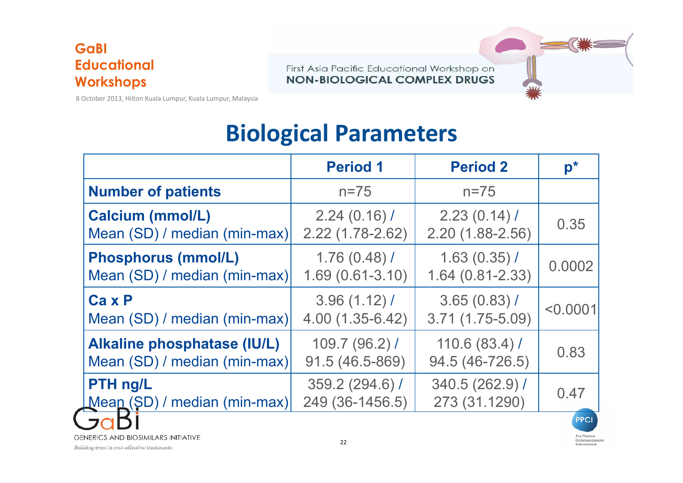First Asia Pacific Educational Workshop on **NON-BIOLOGICAL COMPLEX DRUGS** 

8 October 2013, Hilton Kuala Lumpur, Kuala Lumpur, Malaysia

## **Biological Parameters**

|                              | <b>Period 1</b>     | <b>Period 2</b>     | $p^*$        |
|------------------------------|---------------------|---------------------|--------------|
| <b>Number of patients</b>    | $n = 75$            | $n = 75$            |              |
| <b>Calcium (mmol/L)</b>      | 2.24(0.16)          | 2.23(0.14)          | 0.35         |
| Mean (SD) / median (min-max) | $2.22(1.78-2.62)$   | $2.20(1.88 - 2.56)$ |              |
| <b>Phosphorus (mmol/L)</b>   | $1.76(0.48)$ /      | 1.63(0.35)          | 0.0002       |
| Mean (SD) / median (min-max) | $1.69(0.61 - 3.10)$ | $1.64(0.81 - 2.33)$ |              |
| $Ca x P$                     | 3.96(1.12)          | $3.65(0.83)$ /      | $\le 0.0001$ |
| Mean (SD) / median (min-max) | $4.00(1.35-6.42)$   | $3.71(1.75-5.09)$   |              |
| Alkaline phosphatase (IU/L)  | 109.7(96.2)         | 110.6(83.4)         | 0.83         |
| Mean (SD) / median (min-max) | 91.5 (46.5-869)     | 94.5 (46-726.5)     |              |
| PTH ng/L                     | 359.2 (294.6) /     | 340.5 (262.9) /     | 0.47         |
| Mean (SD) / median (min-max) | 249 (36-1456.5)     | 273 (31.1290)       |              |



**GENERICS AND BIOSIMILARS INITIATIVE**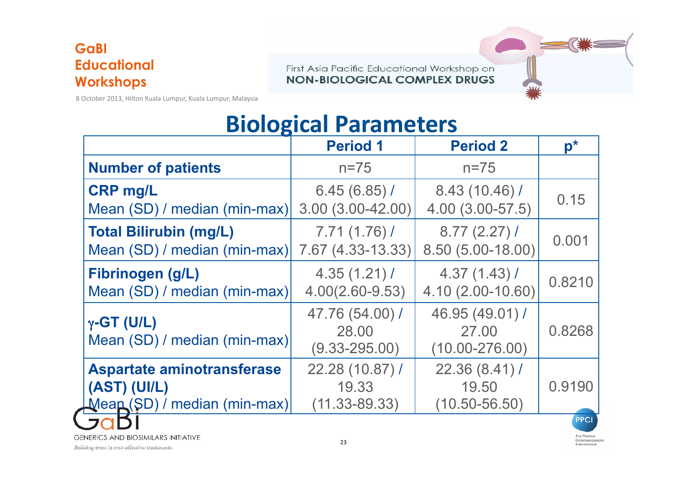First Asia Pacific Educational Workshop on **NON-BIOLOGICAL COMPLEX DRUGS** 

8 October 2013, Hilton Kuala Lumpur, Kuala Lumpur, Malaysia

## **Biological Parameters**

|                                                    | <b>Period 1</b>                               | <b>Period 2</b>                                | $\mathbf{D}^*$ |
|----------------------------------------------------|-----------------------------------------------|------------------------------------------------|----------------|
| <b>Number of patients</b>                          | $n = 75$                                      | $n = 75$                                       |                |
| <b>CRP mg/L</b>                                    | 6.45(6.85)                                    | 8.43 (10.46) /                                 | 0.15           |
| Mean (SD) / median (min-max)                       | $3.00(3.00-42.00)$                            | 4.00 (3.00-57.5)                               |                |
| <b>Total Bilirubin (mg/L)</b>                      | 7.71(1.76)                                    | 8.77(2.27)                                     | 0.001          |
| Mean (SD) / median (min-max)                       | 7.67 (4.33-13.33)                             | 8.50 (5.00-18.00)                              |                |
| Fibrinogen (g/L)                                   | 4.35(1.21)                                    | 4.37(1.43)                                     | 0.8210         |
| Mean (SD) / median (min-max)                       | $4.00(2.60 - 9.53)$                           | 4.10 (2.00-10.60)                              |                |
| $\gamma$ -GT (U/L)<br>Mean (SD) / median (min-max) | 47.76 (54.00) /<br>28.00<br>$(9.33 - 295.00)$ | 46.95 (49.01) /<br>27,00<br>$(10.00 - 276.00)$ | 0.8268         |
| Aspartate aminotransferase                         | 22.28 (10.87) /                               | 22.36 (8.41) /                                 | 0.9190         |
| (AST) (UI/L)                                       | 19.33                                         | 19.50                                          |                |
| Meap (SD) / median (min-max)                       | $(11.33 - 89.33)$                             | $(10.50 - 56.50)$                              |                |
|                                                    |                                               |                                                | <b>PPCI</b>    |





Pro Pharma Communications International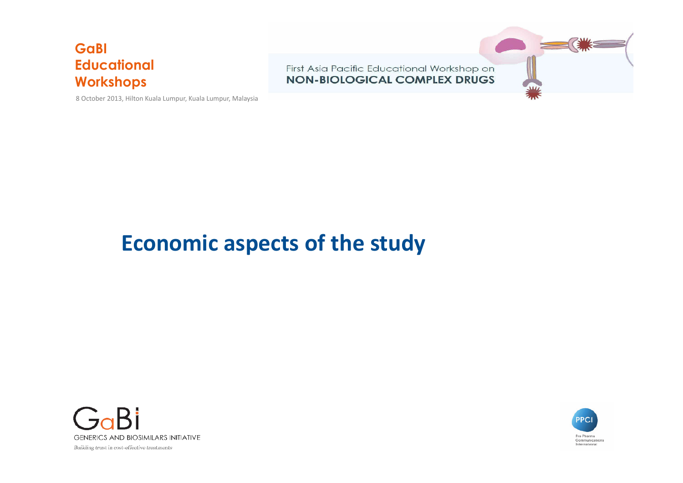8 October 2013, Hilton Kuala Lumpur, Kuala Lumpur, Malaysia



## **Economic aspects of the study**



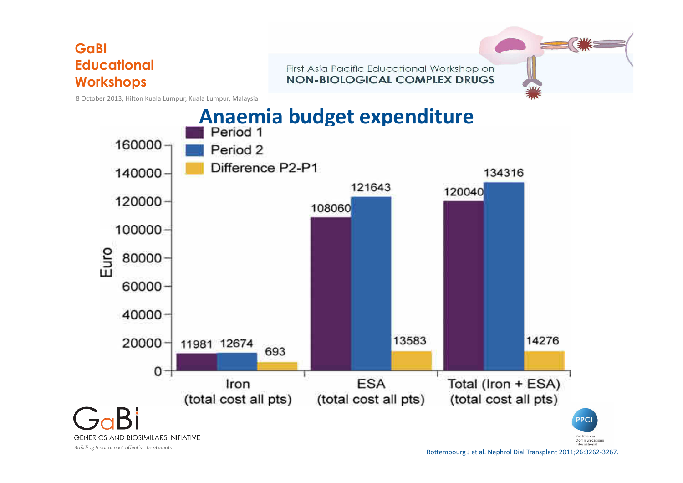First Asia Pacific Educational Workshop on **NON-BIOLOGICAL COMPLEX DRUGS** 

8 October 2013, Hilton Kuala Lumpur, Kuala Lumpur, Malaysia



Rottembourg J et al. Nephrol Dial Transplant 2011;26:3262-3267.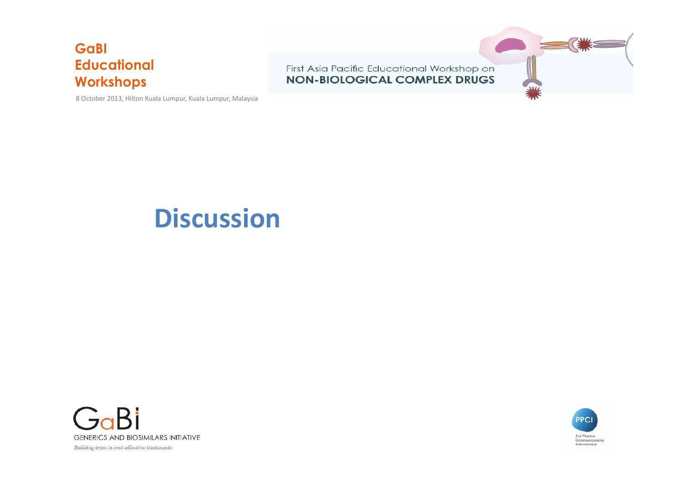8 October 2013, Hilton Kuala Lumpur, Kuala Lumpur, Malaysia



## **Discussion**



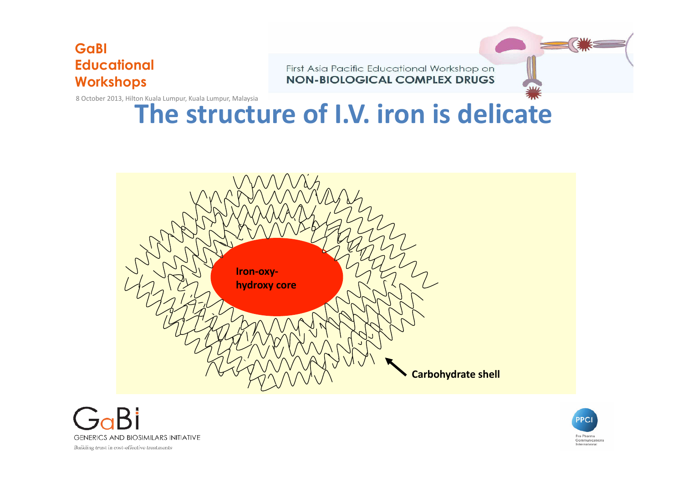First Asia Pacific Educational Workshop on **NON-BIOLOGICAL COMPLEX DRUGS** 

8 October 2013, Hilton Kuala Lumpur, Kuala Lumpur, Malaysia

## **The structure of I.V. iron is delicate**





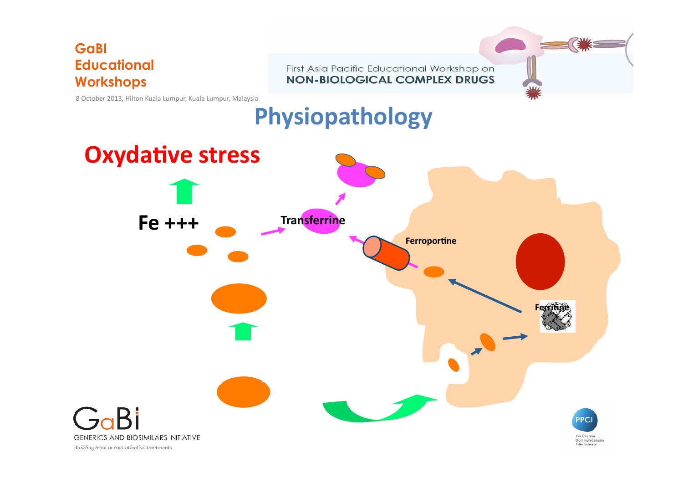First Asia Pacific Educational Workshop on **NON-BIOLOGICAL COMPLEX DRUGS** 



## **Physiopathology**

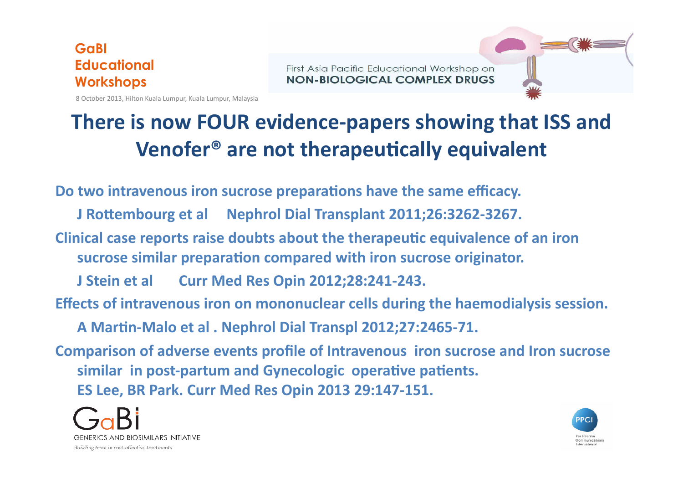First Asia Pacific Educational Workshop on **NON-BIOLOGICAL COMPLEX DRUGS** 

8 October 2013, Hilton Kuala Lumpur, Kuala Lumpur, Malaysia

## **There is now FOUR evidence-papers showing that ISS and** Venofer<sup>®</sup> are not therapeutically equivalent

Do two intravenous iron sucrose preparations have the same efficacy.

**J** Rottembourg et al Mephrol Dial Transplant 2011;26:3262-3267.

**Clinical case reports raise doubts about the therapeutic equivalence of an iron** sucrose similar preparation compared with iron sucrose originator.

**J Stein et al Curr Med Res Opin 2012;28:241-243.** 

Effects of intravenous iron on mononuclear cells during the haemodialysis session.

A Martin-Malo et al . Nephrol Dial Transpl 2012;27:2465-71.

**Comparison of adverse events profile of Intravenous iron sucrose and Iron sucrose** similar in post-partum and Gynecologic operative patients. **ES Lee, BR Park. Curr Med Res Opin 2013 29:147-151.**



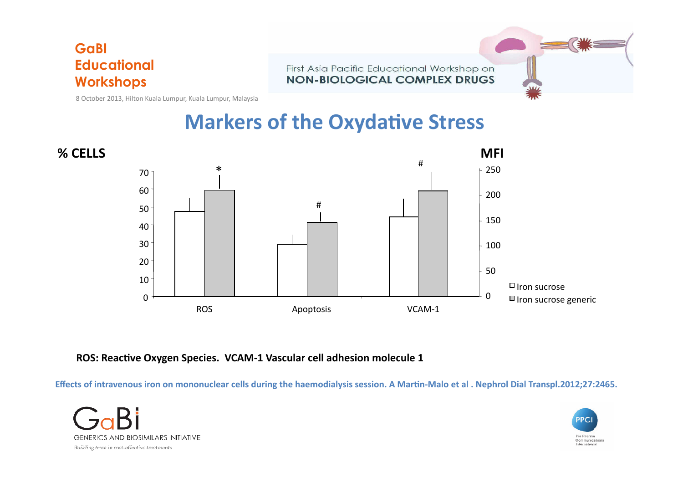First Asia Pacific Educational Workshop on **NON-BIOLOGICAL COMPLEX DRUGS** 

8 October 2013, Hilton Kuala Lumpur, Kuala Lumpur, Malaysia

### **Markers of the Oxydative Stress**



**ROS: Reactive Oxygen Species. VCAM-1 Vascular cell adhesion molecule 1** 

Effects of intravenous iron on mononuclear cells during the haemodialysis session. A Martin-Malo et al . Nephrol Dial Transpl.2012;27:2465.



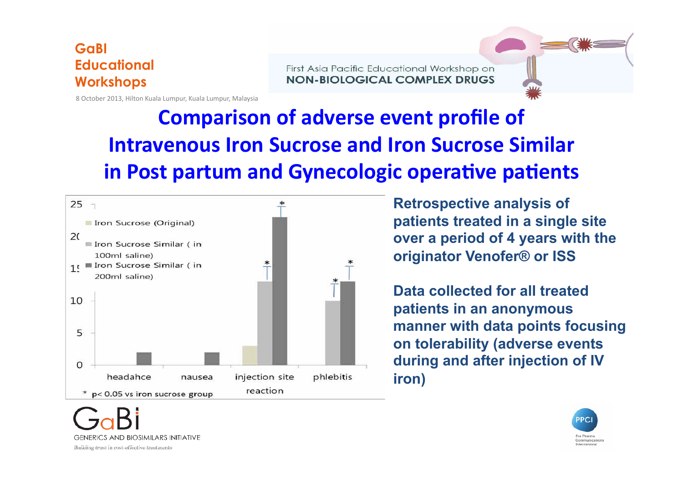First Asia Pacific Educational Workshop on **NON-BIOLOGICAL COMPLEX DRUGS** 

8 October 2013, Hilton Kuala Lumpur, Kuala Lumpur, Malaysia

## **Comparison of adverse event profile of Intravenous Iron Sucrose and Iron Sucrose Similar in Post partum and Gynecologic operative patients**



**Retrospective analysis of patients treated in a single site over a period of 4 years with the originator Venofer® or ISS** 

**Data collected for all treated patients in an anonymous manner with data points focusing on tolerability (adverse events during and after injection of IV iron)** 



**GENERICS AND BIOSIMILARS INITIATIVE** Building trust in cost-effective treatments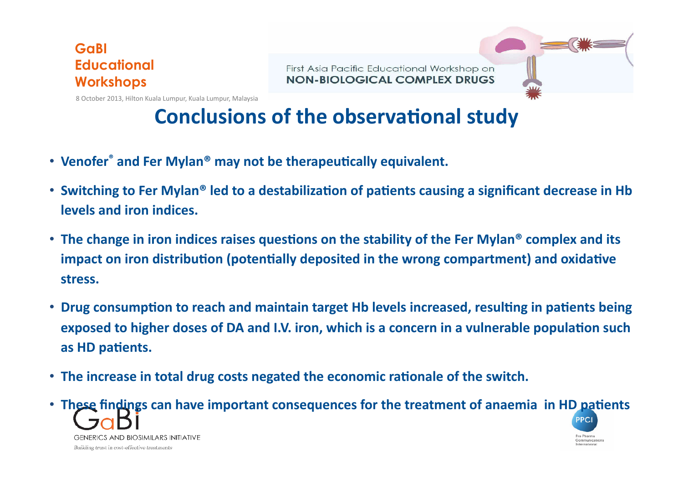First Asia Pacific Educational Workshop on **NON-BIOLOGICAL COMPLEX DRUGS** 

8 October 2013, Hilton Kuala Lumpur, Kuala Lumpur, Malaysia

## **Conclusions of the observational study**

- Venofer<sup>®</sup> and Fer Mylan<sup>®</sup> may not be therapeutically equivalent.
- Switching to Fer Mylan<sup>®</sup> led to a destabilization of patients causing a significant decrease in Hb **levels and iron indices.**
- The change in iron indices raises questions on the stability of the Fer Mylan<sup>®</sup> complex and its **impact on iron distribution (potentially deposited in the wrong compartment) and oxidative stress.**
- Drug consumption to reach and maintain target Hb levels increased, resulting in patients being **exposed to higher doses of DA and I.V. iron, which is a concern in a vulnerable population such** as HD patients.
- The increase in total drug costs negated the economic rationale of the switch.

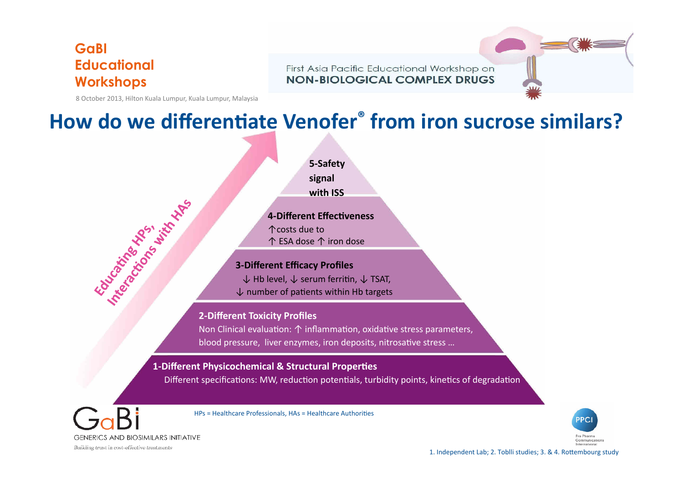First Asia Pacific Educational Workshop on **NON-BIOLOGICAL COMPLEX DRUGS** 

8 October 2013, Hilton Kuala Lumpur, Kuala Lumpur, Malaysia

### How do we differentiate Venofer<sup>®</sup> from iron sucrose similars?



Non Clinical evaluation:  $\uparrow$  inflammation, oxidative stress parameters, blood pressure, liver enzymes, iron deposits, nitrosative stress ...

#### **1-Different Physicochemical & Structural Properties**

Different specifications: MW, reduction potentials, turbidity points, kinetics of degradation

**GENERICS AND BIOSIMILARS INITIATIVE** Building trust in cost-effective treatments

HPs = Healthcare Professionals, HAs = Healthcare Authorities



1. Independent Lab; 2. Toblli studies; 3. & 4. Rottembourg study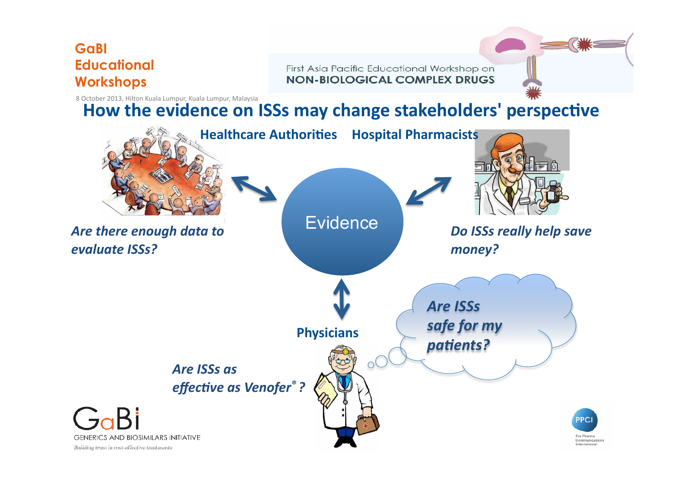First Asia Pacific Educational Workshop on **NON-BIOLOGICAL COMPLEX DRUGS** 

8 October 2013, Hilton Kuala Lumpur, Kuala Lumpur, Malaysia

### How the evidence on ISSs may change stakeholders' perspective

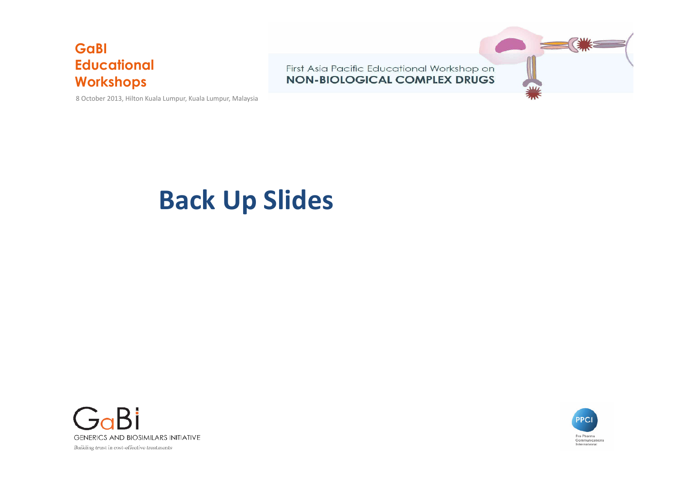8 October 2013, Hilton Kuala Lumpur, Kuala Lumpur, Malaysia



## **Back Up Slides**



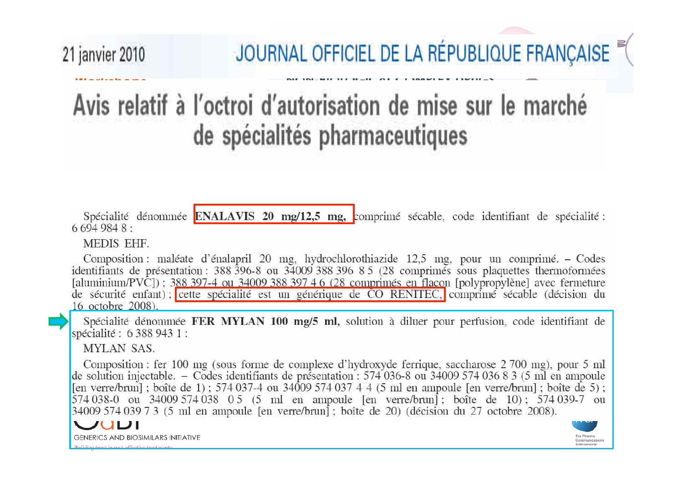## JOURNAL OFFICIEL DE LA RÉPUBLIQUE FRANÇAISE

## **Workshops** Avis relatif à l'octroi d'autorisation de mise sur le marché de spécialités pharmaceutiques

Spécialité dénommée ENALAVIS 20 mg/12,5 mg, comprimé sécable, code identifiant de spécialité :  $6.694.984.8$ 

MEDIS EHF.

 $S<sub>on</sub>$ 

**Educational** 

Composition : maléate d'énalapril 20 mg, hydrochlorothiazide 12,5 mg, pour un comprimé. – Codes identifiants de présentation : 388 396-8 ou 34009 388 396 8 5 (28 comprimés sous plaquettes thermoformées [aluminium/PVC]); 388 397-4 ou 34009 388 397 4 6 (28 comprimés en flacon [polypropylène] avec fermeture de sécurité enfant); cette spécialité est un générique de CO RENITEC, comprimé sécable (décision du 16 octobre 2008).

Spécialité dénommée FER MYLAN 100 mg/5 ml, solution à diluer pour perfusion, code identifiant de spécialité : 6 388 943 1 :

**MYLAN SAS.** 

Composition : fer 100 mg (sous forme de complexe d'hydroxyde ferrique, saccharose 2 700 mg), pour 5 ml de solution injectable. – Codes identifiants de présentation : 574 036-8 ou 34009 574 036 8 3 (5 ml en ampoule [en verre/brun]; boîte de 1); 574 037-4 ou 34009 574 037 4 4 (5 ml en ampoule [en verre/brun]; boîte de 5); 574 038-0 ou 34009 574 038 0 5 (5 ml en ampoule [en verre/brun]; boîte de 10); 574 039-7 ou 34009 574 039 7 3 (5 ml en ampoule [en verre/brun] : boîte de 20) (décision du 27 octobre 2008).



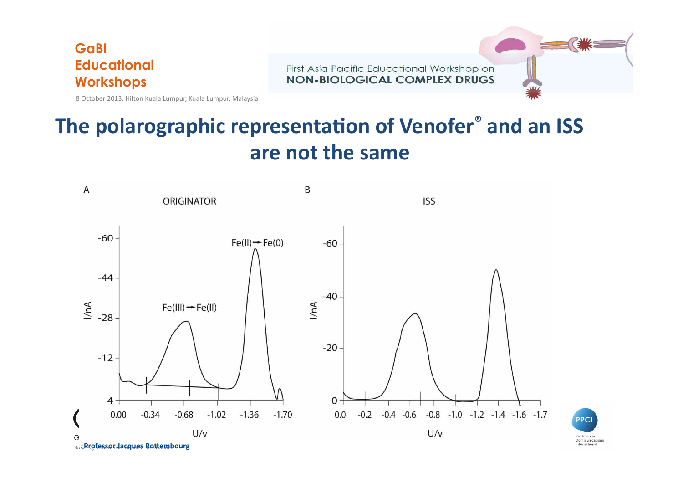

First Asia Pacific Educational Workshop on **NON-BIOLOGICAL COMPLEX DRUGS** 

8 October 2013, Hilton Kuala Lumpur, Kuala Lumpur, Malaysia

## The polarographic representation of Venofer<sup>®</sup> and an ISS are not the same





*Buillenofessor Jacques* Rottembourg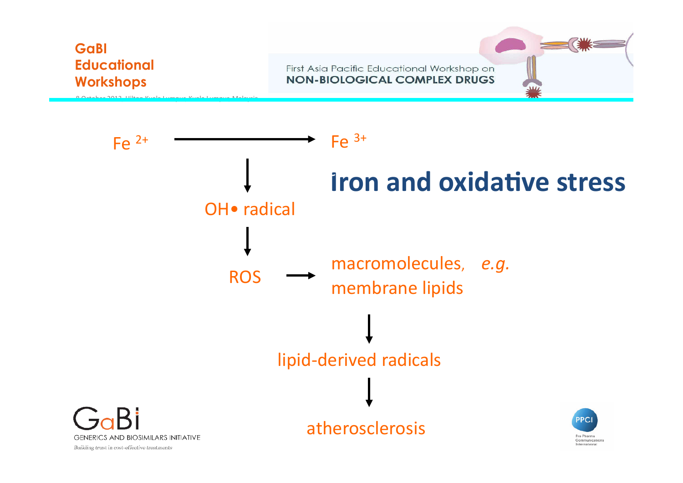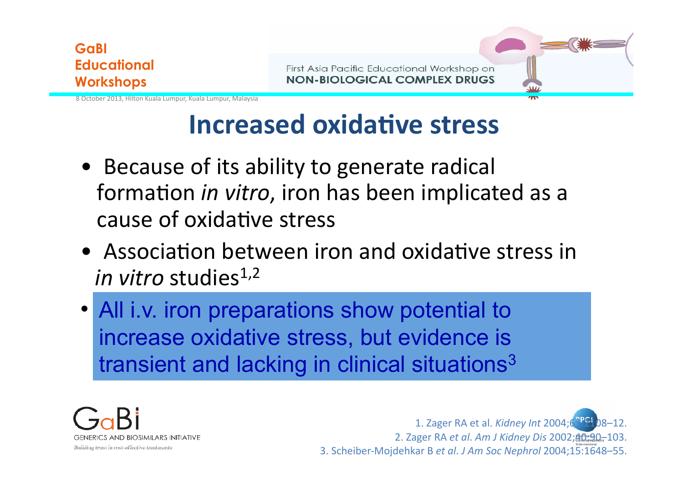

First Asia Pacific Educational Workshop on **NON-BIOLOGICAL COMPLEX DRUGS** 

8 October 2013, Hilton Kuala Lumpur, Kuala Lumpur, Malaysia

## **Increased oxidative stress**

- Because of its ability to generate radical formation *in vitro*, iron has been implicated as a cause of oxidative stress
- Association between iron and oxidative stress in *in vitro* studies<sup>1,2</sup>
- All i.v. iron preparations show potential to increase oxidative stress, but evidence is transient and lacking in clinical situations<sup>3</sup>



1. Zager RA et al. *Kidney Int* 2004;6<sup>PPS-1</sup> 2. Zager RA *et al*. *Am J Kidney Dis* 2002;40:90–103. 3. Scheiber-Mojdehkar B *et al*. *J Am Soc Nephrol* 2004;15:1648–55.

 $^{\prime}$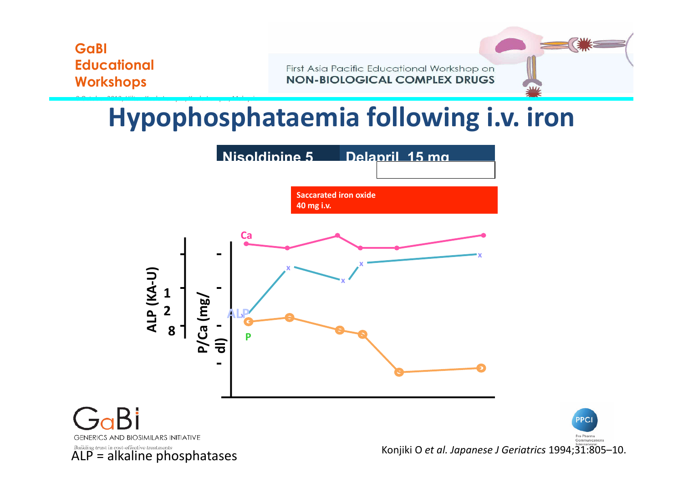8. October 2013, Hilton Kuala Lumpur, Kuala Lumpur, Malaysia

First Asia Pacific Educational Workshop on **NON-BIOLOGICAL COMPLEX DRUGS** 

## **Hypophosphataemia following i.v. iron**



Konjiki O et al. Japanese J Geriatrics 1994;31:805-10.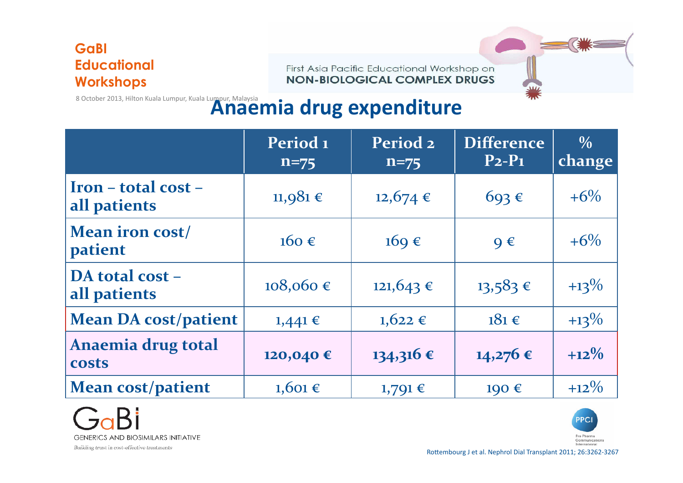First Asia Pacific Educational Workshop on **NON-BIOLOGICAL COMPLEX DRUGS** 

## **8** October 2013, Hilton Kuala Lumpur, Kuala Lumpur, Malaysia<br>**Anaemia drug expenditure**

|                                                | Period <sub>1</sub><br>$n = 75$ | Period <sub>2</sub><br>$n = 75$ | <b>Difference</b><br>$P_2-P_1$ | $\frac{0}{0}$<br>change |
|------------------------------------------------|---------------------------------|---------------------------------|--------------------------------|-------------------------|
| $\textbf{Iron}$ – total cost –<br>all patients | $11,981 \in$                    | $12,674$ €                      | $693 \in$                      | $+6\%$                  |
| <b>Mean iron cost/</b><br>patient              | $160 \in$                       | $169 \in$                       | $Q \in$                        | $+6\%$                  |
| DA total cost -<br>all patients                | $108,060 \in$                   | $121,643$ €                     | $13,583$ €                     | $+13\%$                 |
| <b>Mean DA cost/patient</b>                    | $1,441 \in$                     | $1,622$ €                       | $181 \in$                      | $+13\%$                 |
| Anaemia drug total<br><b>costs</b>             | 120,040€                        | $134,316 \in$                   | $14,276$ €                     | $+12\%$                 |
| <b>Mean cost/patient</b>                       | $1,601 \in$                     | $1,791 \in$                     | 190€                           | $+12\%$                 |